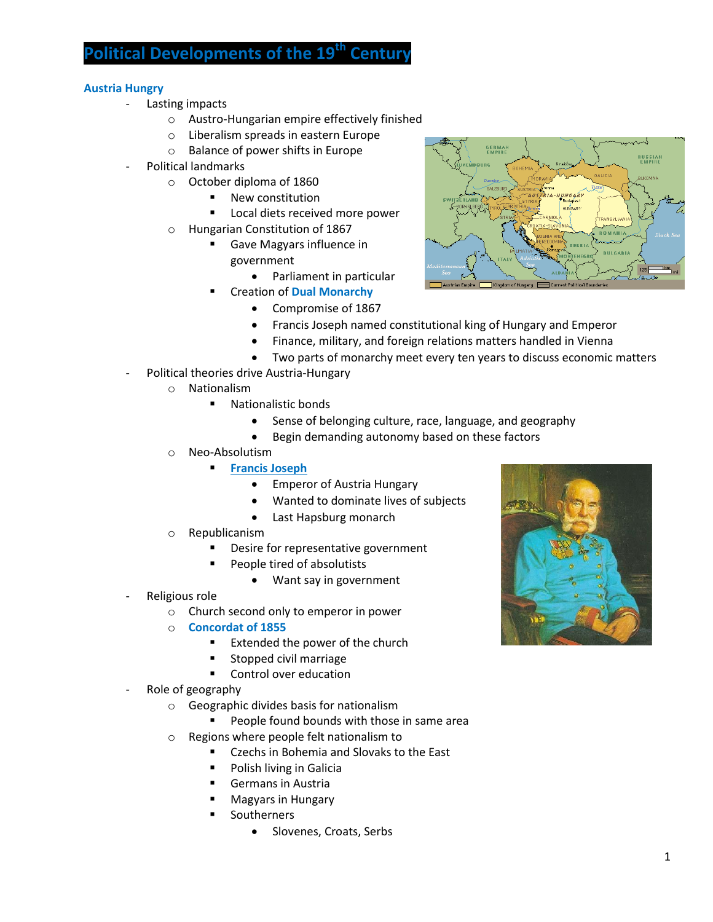## **Political Developments of the 19th Century**

## **Austria Hungry**

- Lasting impacts
	- o Austro-Hungarian empire effectively finished
	- o Liberalism spreads in eastern Europe
	- o Balance of power shifts in Europe
- Political landmarks
	- o October diploma of 1860
		- **New constitution**
		- **Local diets received more power**
	- o Hungarian Constitution of 1867
		- **Gave Magyars influence in** government
			- Parliament in particular
		- Creation of **Dual Monarchy**
			- Compromise of 1867
			- Francis Joseph named constitutional king of Hungary and Emperor
			- Finance, military, and foreign relations matters handled in Vienna
			- Two parts of monarchy meet every ten years to discuss economic matters
- Political theories drive Austria-Hungary
	- o Nationalism
		- Nationalistic bonds
			- Sense of belonging culture, race, language, and geography
			- Begin demanding autonomy based on these factors
	- o Neo-Absolutism
		- **Francis Joseph** 
			- Emperor of Austria Hungary
			- Wanted to dominate lives of subjects
			- Last Hapsburg monarch
	- o Republicanism
		- Desire for representative government
		- People tired of absolutists
			- Want say in government
- Religious role
	- o Church second only to emperor in power
	- o **Concordat of 1855**
		- Extended the power of the church
		- Stopped civil marriage
		- **Control over education**
- Role of geography
	- o Geographic divides basis for nationalism
		- **People found bounds with those in same area**
	- o Regions where people felt nationalism to
		- **EXECC** Czechs in Bohemia and Slovaks to the East
		- Polish living in Galicia
		- Germans in Austria
		- Magyars in Hungary
		- **Southerners** 
			- Slovenes, Croats, Serbs



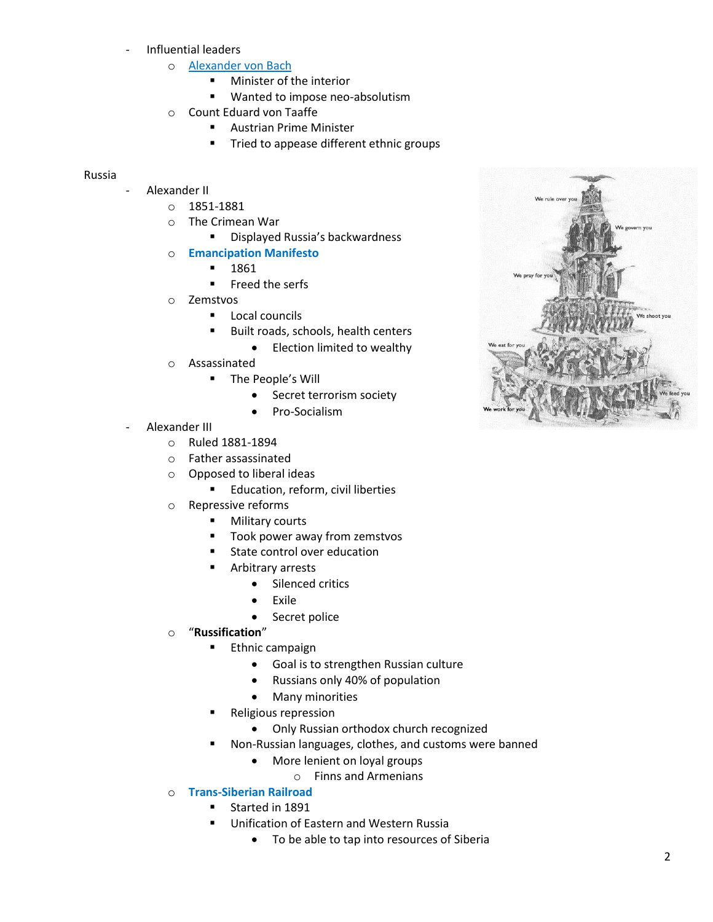- Influential leaders
	- o Alexander von Bach
		- **Minister of the interior**
		- **Wanted to impose neo-absolutism**
	- o Count Eduard von Taaffe
		- Austrian Prime Minister
		- **Tried to appease different ethnic groups**

## Russia

- Alexander II
	- o 1851-1881
	- o The Crimean War
		- **E** Displayed Russia's backwardness
	- o **Emancipation Manifesto**
		- 1861
		- Freed the serfs
	- o Zemstvos
		- **Local councils**
		- Built roads, schools, health centers
			- Election limited to wealthy
	- o Assassinated
		- **The People's Will** 
			- Secret terrorism society
			- Pro-Socialism
- Alexander III
	- o Ruled 1881-1894
	- o Father assassinated
	- o Opposed to liberal ideas
		- **Education, reform, civil liberties**
	- o Repressive reforms
		- **Nilitary courts** 
			- Took power away from zemstvos
			- State control over education
			- Arbitrary arrests
				- Silenced critics
				- Exile
					- Secret police
	- o "**Russification**"
		- **Ethnic campaign** 
			- Goal is to strengthen Russian culture
			- Russians only 40% of population
			- Many minorities
		- Religious repression
			- Only Russian orthodox church recognized
		- Non-Russian languages, clothes, and customs were banned
			- More lenient on loyal groups
				- o Finns and Armenians
	- o **Trans-Siberian Railroad**
		- **Started in 1891**
		- **Unification of Eastern and Western Russia** 
			- To be able to tap into resources of Siberia

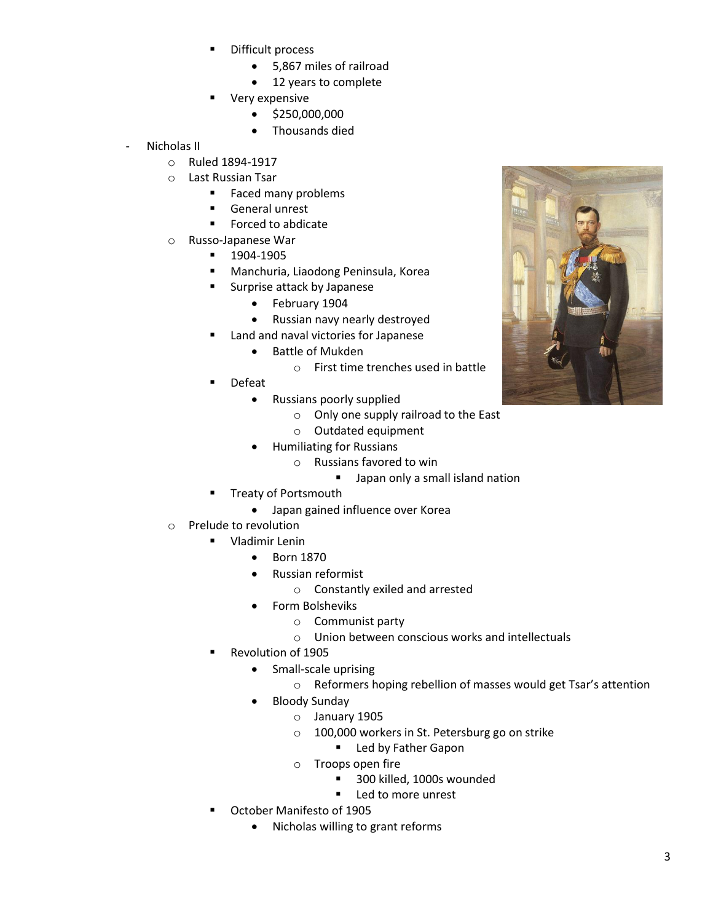- Difficult process
	- 5,867 miles of railroad
	- 12 years to complete
- Very expensive
	- $\bullet$  \$250,000,000
	- Thousands died
- Nicholas II
	- o Ruled 1894-1917
	- o Last Russian Tsar
		- **Faced many problems**
		- General unrest
		- **Forced to abdicate**
	- o Russo-Japanese War
		- 1904-1905
		- Manchuria, Liaodong Peninsula, Korea
			- Surprise attack by Japanese
				- February 1904
				- Russian navy nearly destroyed
		- Land and naval victories for Japanese
			- Battle of Mukden
				- o First time trenches used in battle
		- Defeat
			- Russians poorly supplied
				- o Only one supply railroad to the East
				- o Outdated equipment
			- Humiliating for Russians
				- o Russians favored to win
					- **Japan only a small island nation**
		- Treaty of Portsmouth
			- Japan gained influence over Korea
	- o Prelude to revolution
		- **Uladimir Lenin** 
			- Born 1870
			- Russian reformist
				- o Constantly exiled and arrested
			- Form Bolsheviks
				- o Communist party
				- o Union between conscious works and intellectuals
		- Revolution of 1905
			- Small-scale uprising
				- o Reformers hoping rebellion of masses would get Tsar's attention
			- Bloody Sunday
				- o January 1905
				- o 100,000 workers in St. Petersburg go on strike
					- **Led by Father Gapon**
				- o Troops open fire
					- 300 killed, 1000s wounded
					- **Led to more unrest**
		- October Manifesto of 1905
			- Nicholas willing to grant reforms